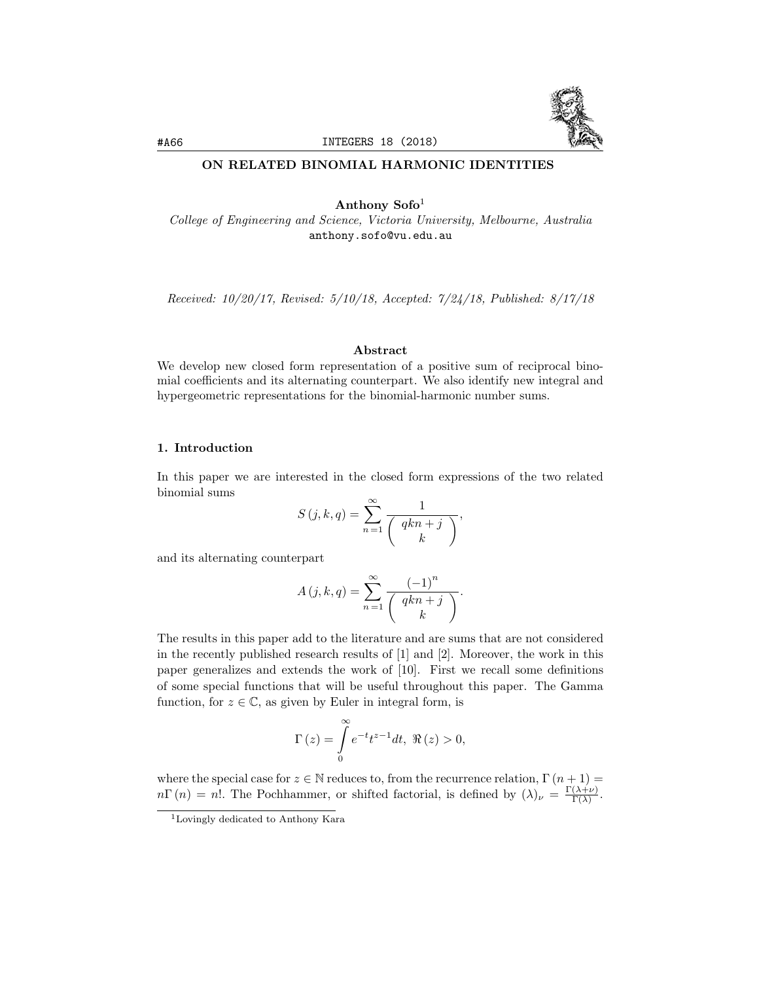

# ON RELATED BINOMIAL HARMONIC IDENTITIES

Anthony  $Sofo<sup>1</sup>$ 

*College of Engineering and Science, Victoria University, Melbourne, Australia* anthony.sofo@vu.edu.au

*Received: 10/20/17, Revised: 5/10/18, Accepted: 7/24/18, Published: 8/17/18*

## Abstract

We develop new closed form representation of a positive sum of reciprocal binomial coefficients and its alternating counterpart. We also identify new integral and hypergeometric representations for the binomial-harmonic number sums.

#### 1. Introduction

In this paper we are interested in the closed form expressions of the two related binomial sums

$$
S(j,k,q) = \sum_{n=1}^{\infty} \frac{1}{\binom{qkn+j}{k}},
$$

and its alternating counterpart

$$
A(j,k,q) = \sum_{n=1}^{\infty} \frac{(-1)^n}{\binom{qkn+j}{k}}.
$$

The results in this paper add to the literature and are sums that are not considered in the recently published research results of [1] and [2]. Moreover, the work in this paper generalizes and extends the work of [10]. First we recall some definitions of some special functions that will be useful throughout this paper. The Gamma function, for  $z \in \mathbb{C}$ , as given by Euler in integral form, is

$$
\Gamma(z) = \int_{0}^{\infty} e^{-t} t^{z-1} dt, \ \Re(z) > 0,
$$

where the special case for  $z \in \mathbb{N}$  reduces to, from the recurrence relation,  $\Gamma(n+1) =$  $n\Gamma(n) = n!$ . The Pochhammer, or shifted factorial, is defined by  $(\lambda)_{\nu} = \frac{\Gamma(\lambda+\nu)}{\Gamma(\lambda)}$ .

<sup>1</sup>Lovingly dedicated to Anthony Kara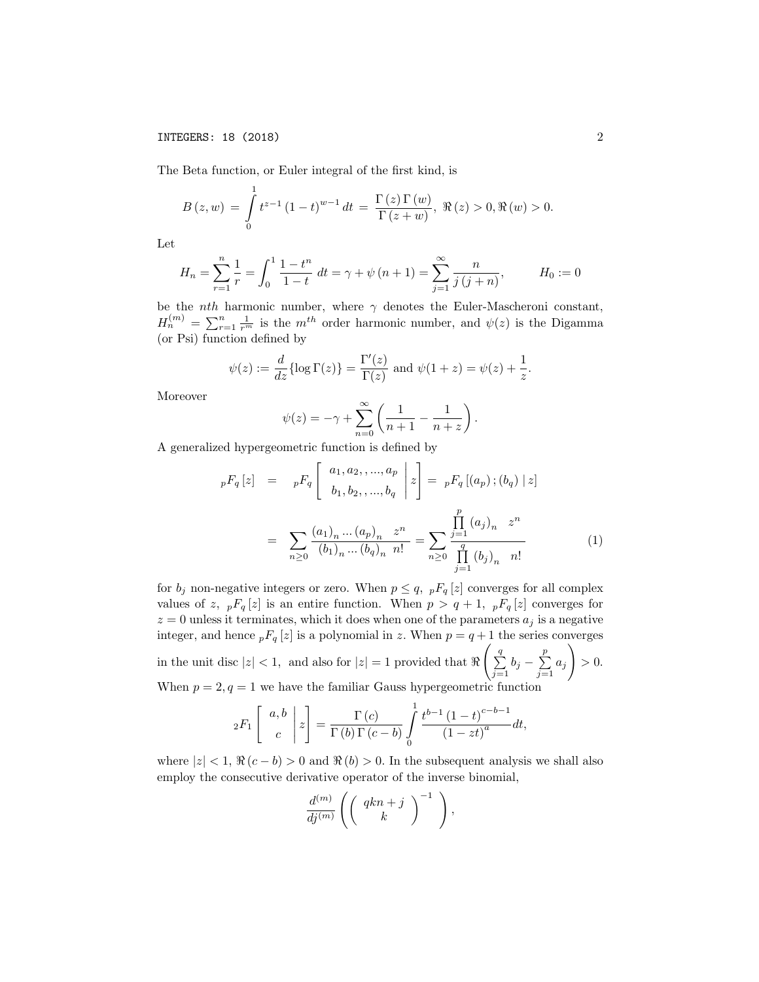The Beta function, or Euler integral of the first kind, is

$$
B(z, w) = \int_{0}^{1} t^{z-1} (1-t)^{w-1} dt = \frac{\Gamma(z) \Gamma(w)}{\Gamma(z+w)}, \Re(z) > 0, \Re(w) > 0.
$$

Let

$$
H_n = \sum_{r=1}^n \frac{1}{r} = \int_0^1 \frac{1 - t^n}{1 - t} dt = \gamma + \psi(n+1) = \sum_{j=1}^\infty \frac{n}{j(j+n)}, \qquad H_0 := 0
$$

be the *nth* harmonic number, where  $\gamma$  denotes the Euler-Mascheroni constant,  $H_n^{(m)} = \sum_{r=1}^n \frac{1}{r^m}$  is the *m*<sup>th</sup> order harmonic number, and  $\psi(z)$  is the Digamma (or Psi) function defined by

$$
\psi(z) := \frac{d}{dz} \{\log \Gamma(z)\} = \frac{\Gamma'(z)}{\Gamma(z)}
$$
 and  $\psi(1+z) = \psi(z) + \frac{1}{z}$ .

Moreover

$$
\psi(z) = -\gamma + \sum_{n=0}^{\infty} \left( \frac{1}{n+1} - \frac{1}{n+z} \right).
$$

A generalized hypergeometric function is defined by

$$
{}_{p}F_{q}[z] = {}_{p}F_{q}\left[\begin{array}{c} a_{1}, a_{2}, \ldots, a_{p} \\ b_{1}, b_{2}, \ldots, b_{q} \end{array} \bigg| z\right] = {}_{p}F_{q}[(a_{p}); (b_{q}) | z]
$$

$$
= \sum_{n\geq 0} \frac{(a_{1})_{n} \ldots (a_{p})_{n} z^{n}}{(b_{1})_{n} \ldots (b_{q})_{n} n!} = \sum_{n\geq 0} \frac{\prod_{j=1}^{p} (a_{j})_{n} z^{n}}{\prod_{j=1}^{q} (b_{j})_{n} n!}
$$
(1)

for  $b_j$  non-negative integers or zero. When  $p \leq q$ ,  $pF_q[z]$  converges for all complex values of *z*,  $pF_q[z]$  is an entire function. When  $p > q + 1$ ,  $pF_q[z]$  converges for  $z = 0$  unless it terminates, which it does when one of the parameters  $a_j$  is a negative integer, and hence  ${}_{p}F_{q}[z]$  is a polynomial in *z*. When  $p = q + 1$  the series converges in the unit disc  $|z| < 1$ , and also for  $|z| = 1$  provided that  $\Re$  $\left(\frac{q}{2}\right)$  $\sum_{j=1}^{q} b_j - \sum_{j=1}^{p} a_j$ ! *>* 0*.* When  $p = 2, q = 1$  we have the familiar Gauss hypergeometric function

$$
{}_2F_1\left[\begin{array}{c}a,b\\c\end{array}\bigg|z\right]=\frac{\Gamma(c)}{\Gamma(b)\Gamma(c-b)}\int\limits_0^1\frac{t^{b-1}(1-t)^{c-b-1}}{(1-zt)^a}dt,
$$

where  $|z| < 1$ ,  $\Re(c - b) > 0$  and  $\Re(b) > 0$ . In the subsequent analysis we shall also employ the consecutive derivative operator of the inverse binomial,

$$
\frac{d^{(m)}}{dj^{(m)}}\left(\left(\begin{array}{c}qkn+j\\k\end{array}\right)^{-1}\ \right),
$$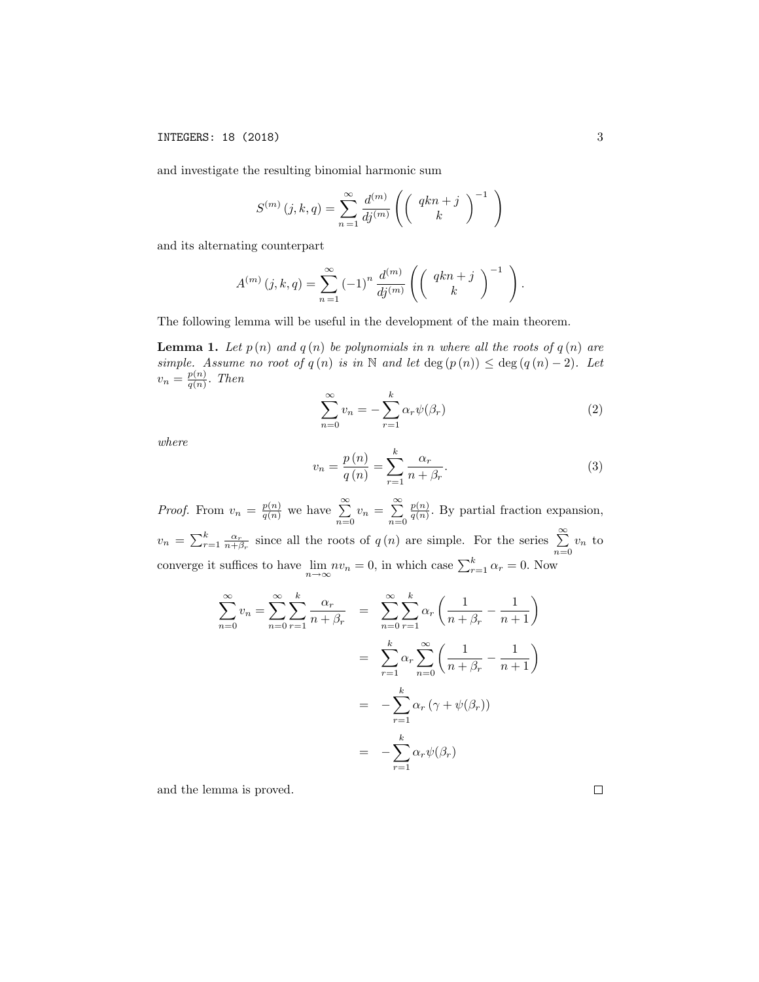and investigate the resulting binomial harmonic sum

$$
S^{(m)}(j,k,q) = \sum_{n=1}^{\infty} \frac{d^{(m)}}{dj^{(m)}} \left( \left( \begin{array}{c} qkn+j\\ k \end{array} \right)^{-1} \right)
$$

and its alternating counterpart

$$
A^{(m)}(j,k,q) = \sum_{n=1}^{\infty} (-1)^n \frac{d^{(m)}}{dj^{(m)}} \left( \left( \begin{array}{c} qkn+j \\ k \end{array} \right)^{-1} \right).
$$

The following lemma will be useful in the development of the main theorem.

**Lemma 1.** Let  $p(n)$  and  $q(n)$  be polynomials in *n* where all the roots of  $q(n)$  are *simple. Assume no root of*  $q(n)$  *is in* N *and let* deg  $(p(n)) \leq$  deg  $(q(n)-2)$ *. Let*  $v_n = \frac{p(n)}{q(n)}$ . *Then* 

$$
\sum_{n=0}^{\infty} v_n = -\sum_{r=1}^{k} \alpha_r \psi(\beta_r)
$$
 (2)

*where*

$$
v_n = \frac{p(n)}{q(n)} = \sum_{r=1}^{k} \frac{\alpha_r}{n + \beta_r}.
$$
 (3)

*Proof.* From  $v_n = \frac{p(n)}{q(n)}$  we have  $\sum_{n=1}^{\infty}$  $\sum_{n=0}^{\infty} v_n = \sum_{n=0}^{\infty}$ *n*=0  $\frac{p(n)}{q(n)}$ . By partial fraction expansion,  $v_n = \sum_{r=1}^k \frac{\alpha_r}{n+\beta_r}$  since all the roots of *q* (*n*) are simple. For the series  $\sum_{r=1}^{\infty}$  $\sum_{n=0}$   $v_n$  to converge it suffices to have  $\lim_{n \to \infty} nv_n = 0$ , in which case  $\sum_{r=1}^{k} \alpha_r = 0$ . Now

$$
\sum_{n=0}^{\infty} v_n = \sum_{n=0}^{\infty} \sum_{r=1}^{k} \frac{\alpha_r}{n + \beta_r} = \sum_{n=0}^{\infty} \sum_{r=1}^{k} \alpha_r \left( \frac{1}{n + \beta_r} - \frac{1}{n + 1} \right)
$$

$$
= \sum_{r=1}^{k} \alpha_r \sum_{n=0}^{\infty} \left( \frac{1}{n + \beta_r} - \frac{1}{n + 1} \right)
$$

$$
= -\sum_{r=1}^{k} \alpha_r \left( \gamma + \psi(\beta_r) \right)
$$

$$
= -\sum_{r=1}^{k} \alpha_r \psi(\beta_r)
$$

and the lemma is proved.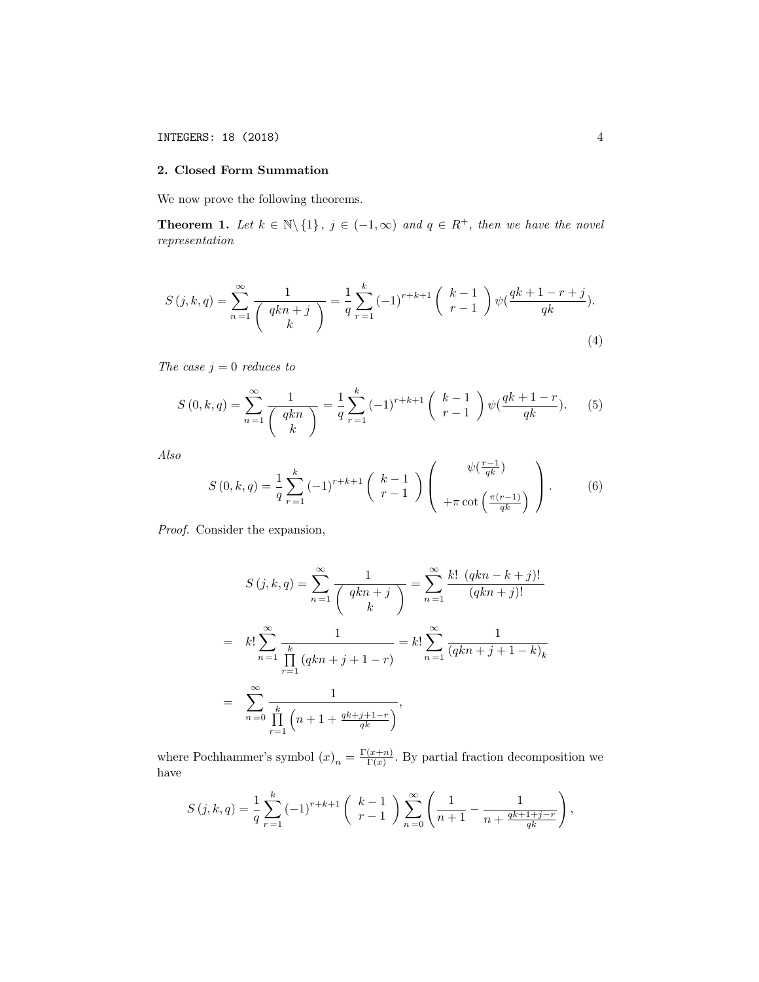### 2. Closed Form Summation

We now prove the following theorems.

**Theorem 1.** Let  $k \in \mathbb{N} \setminus \{1\}$ ,  $j \in (-1,\infty)$  and  $q \in R^+$ , then we have the novel *representation*

$$
S(j,k,q) = \sum_{n=1}^{\infty} \frac{1}{\binom{qkn+j}{k}} = \frac{1}{q} \sum_{r=1}^{k} (-1)^{r+k+1} \binom{k-1}{r-1} \psi(\frac{qk+1-r+j}{qk}).
$$
\n(4)

*The case*  $j = 0$  *reduces to* 

$$
S(0,k,q) = \sum_{n=1}^{\infty} \frac{1}{\binom{qkn}{k}} = \frac{1}{q} \sum_{r=1}^{k} (-1)^{r+k+1} \binom{k-1}{r-1} \psi(\frac{qk+1-r}{qk}).
$$
 (5)

*Also*

$$
S(0,k,q) = \frac{1}{q} \sum_{r=1}^{k} (-1)^{r+k+1} \binom{k-1}{r-1} \binom{\psi(\frac{r-1}{qk})}{\pm \pi \cot\left(\frac{\pi(r-1)}{qk}\right)}.
$$
 (6)

*Proof.* Consider the expansion,

$$
S(j,k,q) = \sum_{n=1}^{\infty} \frac{1}{\binom{qkn+j}{k}} = \sum_{n=1}^{\infty} \frac{k! (qkn - k + j)!}{(qkn + j)!}
$$
  
=  $k! \sum_{n=1}^{\infty} \frac{1}{\prod_{r=1}^{k} (qkn + j + 1 - r)} = k! \sum_{n=1}^{\infty} \frac{1}{(qkn + j + 1 - k)_k}$   
=  $\sum_{n=0}^{\infty} \frac{1}{\prod_{r=1}^{k} (n + 1 + \frac{qk + j + 1 - r}{qk})}$ ,

where Pochhammer's symbol  $(x)_n = \frac{\Gamma(x+n)}{\Gamma(x)}$ . By partial fraction decomposition we have

$$
S(j,k,q) = \frac{1}{q} \sum_{r=1}^{k} (-1)^{r+k+1} {k-1 \choose r-1} \sum_{n=0}^{\infty} {1 \choose n+1} - \frac{1}{n + \frac{qk+1+j-r}{qk}} ,
$$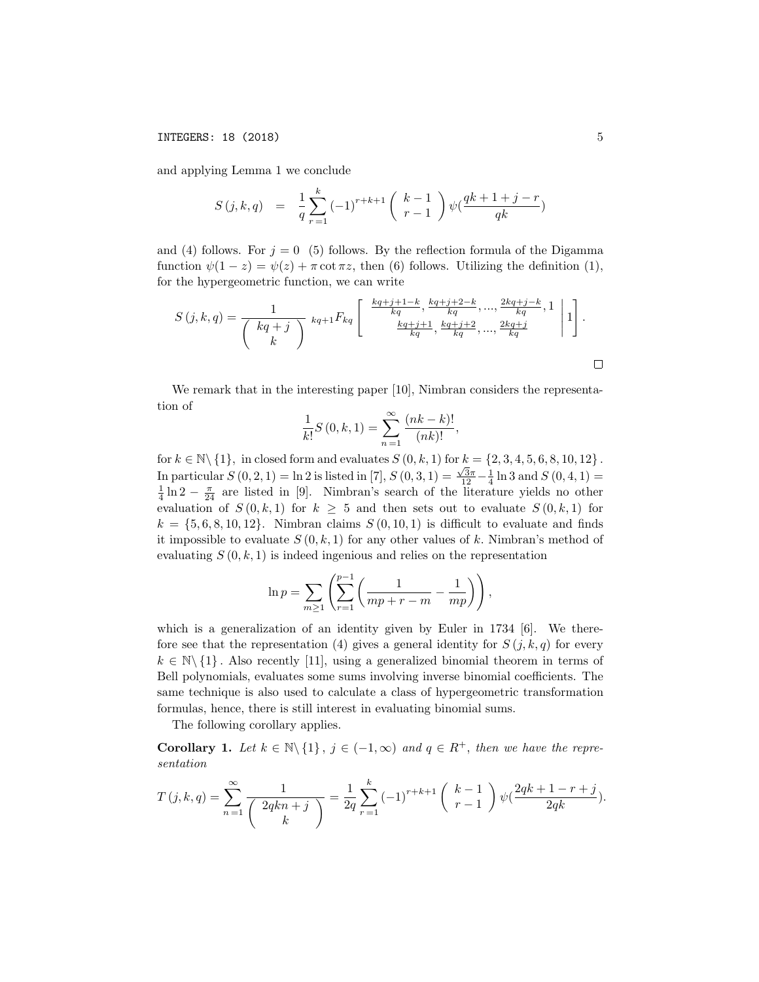and applying Lemma 1 we conclude

$$
S(j,k,q) = \frac{1}{q} \sum_{r=1}^{k} (-1)^{r+k+1} {k-1 \choose r-1} \psi(\frac{qk+1+j-r}{qk})
$$

and (4) follows. For  $j = 0$  (5) follows. By the reflection formula of the Digamma function  $\psi(1 - z) = \psi(z) + \pi \cot \pi z$ , then (6) follows. Utilizing the definition (1), for the hypergeometric function, we can write

$$
S(j,k,q) = \frac{1}{\binom{kq+j}{k}} k_{q+1} F_{kq} \left[ \begin{array}{c} \frac{kq+j+1-k}{kq}, \frac{kq+j+2-k}{kq}, \dots, \frac{2kq+j-k}{kq}, 1\\ \frac{kq+j+1}{kq}, \frac{kq+j+2}{kq}, \dots, \frac{2kq+j}{kq} \end{array} \right| 1 \right].
$$

We remark that in the interesting paper [10], Nimbran considers the representation of

$$
\frac{1}{k!}S(0,k,1) = \sum_{n=1}^{\infty} \frac{(nk-k)!}{(nk)!},
$$

for  $k \in \mathbb{N} \setminus \{1\}$ , in closed form and evaluates  $S(0, k, 1)$  for  $k = \{2, 3, 4, 5, 6, 8, 10, 12\}$ . In particular  $S(0,2,1) = \ln 2$  is listed in [7],  $S(0,3,1) = \frac{\sqrt{3}\pi}{12} - \frac{1}{4} \ln 3$  and  $S(0,4,1) = \frac{1}{4} \ln 2 - \frac{\pi}{24}$  are listed in [9]. Nimbran's search of the literature yields no other evaluation of  $S(0,k,1)$  for  $k \geq 5$  and then sets out to evaluate  $S(0,k,1)$  for  $k = \{5, 6, 8, 10, 12\}$ . Nimbran claims  $S(0, 10, 1)$  is difficult to evaluate and finds it impossible to evaluate  $S(0, k, 1)$  for any other values of k. Nimbran's method of evaluating  $S(0, k, 1)$  is indeed ingenious and relies on the representation

$$
\ln p = \sum_{m \ge 1} \left( \sum_{r=1}^{p-1} \left( \frac{1}{mp + r - m} - \frac{1}{mp} \right) \right),\,
$$

which is a generalization of an identity given by Euler in 1734 [6]. We therefore see that the representation (4) gives a general identity for  $S(j, k, q)$  for every  $k \in \mathbb{N} \setminus \{1\}$ . Also recently [11], using a generalized binomial theorem in terms of Bell polynomials, evaluates some sums involving inverse binomial coefficients. The same technique is also used to calculate a class of hypergeometric transformation formulas, hence, there is still interest in evaluating binomial sums.

The following corollary applies.

**Corollary 1.** Let  $k \in \mathbb{N} \setminus \{1\}$ ,  $j \in (-1,\infty)$  and  $q \in R^+$ , then we have the repre*sentation*

$$
T(j,k,q) = \sum_{n=1}^{\infty} \frac{1}{\binom{2qkn+j}{k}} = \frac{1}{2q} \sum_{r=1}^{k} (-1)^{r+k+1} \binom{k-1}{r-1} \psi(\frac{2qk+1-r+j}{2qk}).
$$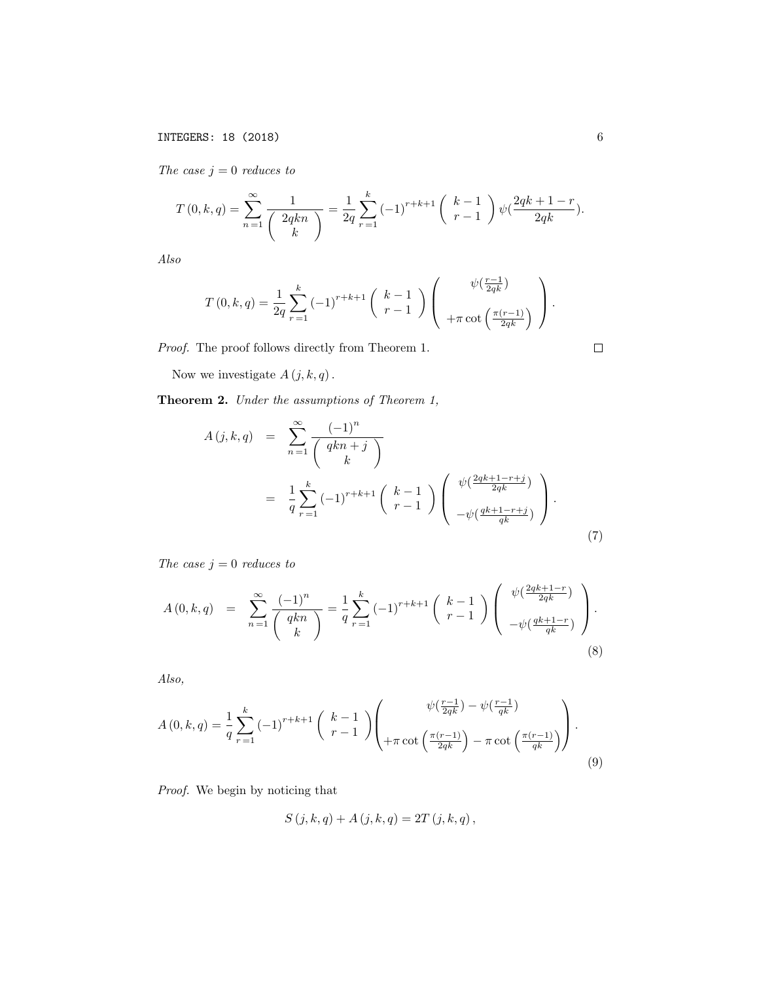*The case*  $j = 0$  *reduces to* 

$$
T(0,k,q) = \sum_{n=1}^{\infty} \frac{1}{\binom{2qkn}{k}} = \frac{1}{2q} \sum_{r=1}^{k} (-1)^{r+k+1} \binom{k-1}{r-1} \psi(\frac{2qk+1-r}{2qk}).
$$

*Also*

$$
T(0,k,q) = \frac{1}{2q} \sum_{r=1}^{k} (-1)^{r+k+1} {k-1 \choose r-1} \left( \frac{\psi(\frac{r-1}{2qk})}{+\pi \cot\left(\frac{\pi(r-1)}{2qk}\right)} \right).
$$

*Proof.* The proof follows directly from Theorem 1.

Now we investigate  $A(j, k, q)$ .

Theorem 2. *Under the assumptions of Theorem 1,*

$$
A(j,k,q) = \sum_{n=1}^{\infty} \frac{(-1)^n}{\binom{qkn+j}{k}}
$$
  
= 
$$
\frac{1}{q} \sum_{r=1}^{k} (-1)^{r+k+1} \binom{k-1}{r-1} \binom{\psi(\frac{2qk+1-r+j}{2qk})}{-\psi(\frac{qk+1-r+j}{qk})}.
$$
 (7)

*The case*  $j = 0$  *reduces to* 

$$
A(0,k,q) = \sum_{n=1}^{\infty} \frac{(-1)^n}{\binom{qkn}{k}} = \frac{1}{q} \sum_{r=1}^{k} (-1)^{r+k+1} \binom{k-1}{r-1} \binom{\psi(\frac{2qk+1-r}{2qk})}{-\psi(\frac{qk+1-r}{qk})}.
$$
\n(8)

*Also,*

$$
A(0,k,q) = \frac{1}{q} \sum_{r=1}^{k} (-1)^{r+k+1} {k-1 \choose r-1} \left( \frac{\psi(\frac{r-1}{2qk}) - \psi(\frac{r-1}{qk})}{+\pi \cot\left(\frac{\pi(r-1)}{2qk}\right) - \pi \cot\left(\frac{\pi(r-1)}{qk}\right)} \right).
$$
\n(9)

*Proof.* We begin by noticing that

$$
S(j, k, q) + A(j, k, q) = 2T(j, k, q),
$$

 $\Box$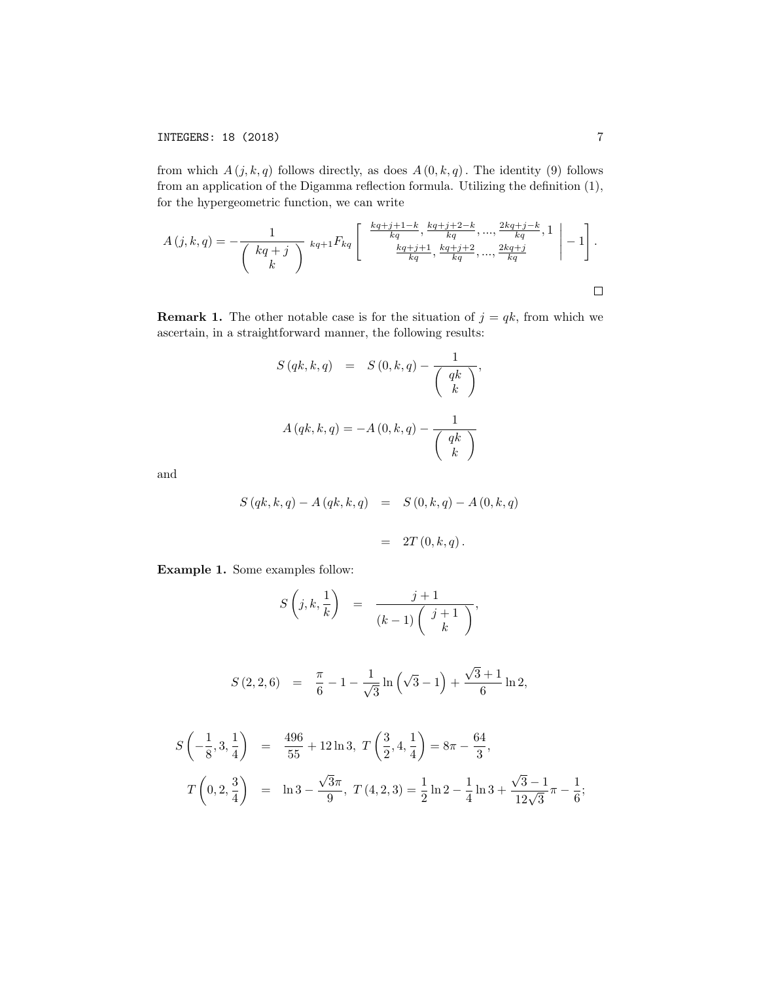from which  $A(j, k, q)$  follows directly, as does  $A(0, k, q)$ . The identity (9) follows from an application of the Digamma reflection formula. Utilizing the definition (1), for the hypergeometric function, we can write

$$
A(j,k,q) = -\frac{1}{\binom{kq+j}{k}} k_{q+1} F_{kq} \left[ \begin{array}{c} \frac{k_{q+j+1}-k}{k_{q}}, \frac{k_{q+j+2}-k}{k_{q}}, \dots, \frac{2k_{q+j}-k}{k_{q}}, 1\\ \frac{k_{q+j+1}}{k_{q}}, \frac{k_{q+j+2}}{k_{q}}, \dots, \frac{2k_{q+j}}{k_{q}} \end{array} \right] - 1 \right].
$$

**Remark 1.** The other notable case is for the situation of  $j = qk$ , from which we ascertain, in a straightforward manner, the following results:

$$
S(qk, k, q) = S(0, k, q) - \frac{1}{\begin{pmatrix} qk \\ k \end{pmatrix}},
$$

$$
A(qk, k, q) = -A(0, k, q) - \frac{1}{\begin{pmatrix} qk \\ k \end{pmatrix}}
$$

and

$$
S(qk, k, q) - A(qk, k, q) = S(0, k, q) - A(0, k, q)
$$

$$
= 2T(0, k, q).
$$

Example 1. Some examples follow:

$$
S\left(j,k,\frac{1}{k}\right) = \frac{j+1}{(k-1)\left(\begin{array}{c}j+1\\k\end{array}\right)},
$$

$$
S(2,2,6) = \frac{\pi}{6} - 1 - \frac{1}{\sqrt{3}} \ln \left( \sqrt{3} - 1 \right) + \frac{\sqrt{3} + 1}{6} \ln 2,
$$

$$
S\left(-\frac{1}{8},3,\frac{1}{4}\right) = \frac{496}{55} + 12\ln 3, T\left(\frac{3}{2},4,\frac{1}{4}\right) = 8\pi - \frac{64}{3},
$$
  

$$
T\left(0,2,\frac{3}{4}\right) = \ln 3 - \frac{\sqrt{3}\pi}{9}, T(4,2,3) = \frac{1}{2}\ln 2 - \frac{1}{4}\ln 3 + \frac{\sqrt{3}-1}{12\sqrt{3}}\pi - \frac{1}{6};
$$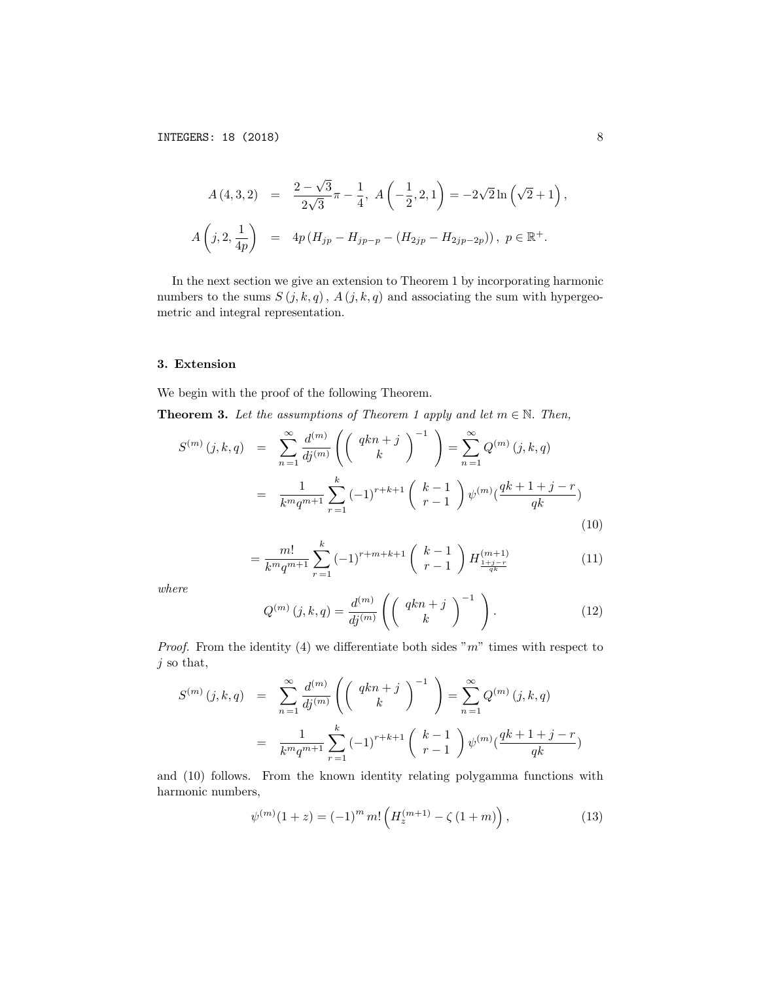$$
A(4,3,2) = \frac{2-\sqrt{3}}{2\sqrt{3}}\pi - \frac{1}{4}, A\left(-\frac{1}{2}, 2, 1\right) = -2\sqrt{2}\ln\left(\sqrt{2} + 1\right),
$$
  

$$
A\left(j, 2, \frac{1}{4p}\right) = 4p\left(H_{jp} - H_{jp-p} - (H_{2jp} - H_{2jp-2p})\right), p \in \mathbb{R}^+.
$$

In the next section we give an extension to Theorem 1 by incorporating harmonic numbers to the sums  $S(j, k, q)$ ,  $A(j, k, q)$  and associating the sum with hypergeometric and integral representation.

### 3. Extension

We begin with the proof of the following Theorem.

**Theorem 3.** Let the assumptions of Theorem 1 apply and let  $m \in \mathbb{N}$ . Then,

$$
S^{(m)}(j,k,q) = \sum_{n=1}^{\infty} \frac{d^{(m)}}{dj^{(m)}} \left( \left( \begin{array}{c} qkn+j \\ k \end{array} \right)^{-1} \right) = \sum_{n=1}^{\infty} Q^{(m)}(j,k,q)
$$

$$
= \frac{1}{k^m q^{m+1}} \sum_{r=1}^k (-1)^{r+k+1} \left( \begin{array}{c} k-1 \\ r-1 \end{array} \right) \psi^{(m)}(\frac{qk+1+j-r}{qk})
$$
(10)

$$
= \frac{m!}{k^m q^{m+1}} \sum_{r=1}^k (-1)^{r+m+k+1} \binom{k-1}{r-1} H_{\frac{1+j-r}{q^k}}^{(m+1)} \tag{11}
$$

*where*

$$
Q^{(m)}(j,k,q) = \frac{d^{(m)}}{dj^{(m)}} \left( \left( \begin{array}{c} qkn+j\\ k \end{array} \right)^{-1} \right). \tag{12}
$$

*Proof.* From the identity (4) we differentiate both sides " $m$ " times with respect to *j* so that,

$$
S^{(m)}(j,k,q) = \sum_{n=1}^{\infty} \frac{d^{(m)}}{dj^{(m)}} \left( \begin{pmatrix} qkn+j \\ k \end{pmatrix}^{-1} \right) = \sum_{n=1}^{\infty} Q^{(m)}(j,k,q)
$$
  
= 
$$
\frac{1}{k^m q^{m+1}} \sum_{r=1}^k (-1)^{r+k+1} \begin{pmatrix} k-1 \\ r-1 \end{pmatrix} \psi^{(m)}(\frac{qk+1+j-r}{qk})
$$

and (10) follows. From the known identity relating polygamma functions with harmonic numbers,

$$
\psi^{(m)}(1+z) = (-1)^m m! \left( H_z^{(m+1)} - \zeta (1+m) \right), \tag{13}
$$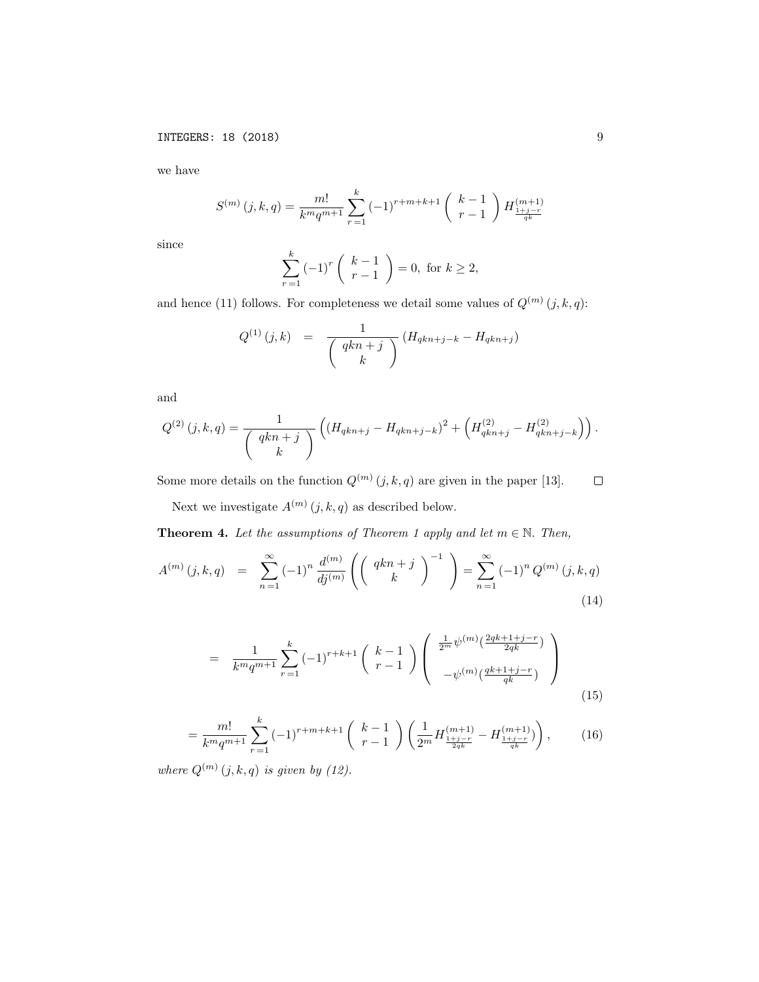we have

$$
S^{(m)}(j,k,q) = \frac{m!}{k^m q^{m+1}} \sum_{r=1}^k (-1)^{r+m+k+1} \binom{k-1}{r-1} H_{\frac{1+j-r}{q^k}}^{(m+1)}
$$

since

$$
\sum_{r=1}^{k} (-1)^{r} \binom{k-1}{r-1} = 0, \text{ for } k \ge 2,
$$

and hence (11) follows. For completeness we detail some values of  $Q^{(m)}(j, k, q)$ :

$$
Q^{(1)}(j,k) = \frac{1}{\binom{qkn+j}{k}} (H_{qkn+j-k} - H_{qkn+j})
$$

and

$$
Q^{(2)}(j,k,q) = \frac{1}{\binom{qkn+j}{k}} \left( \left( H_{qkn+j} - H_{qkn+j-k} \right)^2 + \left( H_{qkn+j}^{(2)} - H_{qkn+j-k}^{(2)} \right) \right).
$$

Some more details on the function  $Q^{(m)}(j, k, q)$  are given in the paper [13].  $\Box$ 

Next we investigate  $A^{(m)}\left(j,k,q\right)$  as described below.

**Theorem 4.** Let the assumptions of Theorem 1 apply and let  $m \in \mathbb{N}$ . Then,

$$
A^{(m)}(j,k,q) = \sum_{n=1}^{\infty} (-1)^n \frac{d^{(m)}}{dj^{(m)}} \left( \left( \begin{array}{c} qkn+j \\ k \end{array} \right)^{-1} \right) = \sum_{n=1}^{\infty} (-1)^n Q^{(m)}(j,k,q)
$$
\n(14)

$$
= \frac{1}{k^m q^{m+1}} \sum_{r=1}^k (-1)^{r+k+1} \binom{k-1}{r-1} \binom{\frac{1}{2^m} \psi^{(m)} \left(\frac{2qk+1+j-r}{2qk}\right)}{-\psi^{(m)} \left(\frac{qk+1+j-r}{qk}\right)} \tag{15}
$$

$$
= \frac{m!}{k^m q^{m+1}} \sum_{r=1}^k (-1)^{r+m+k+1} \binom{k-1}{r-1} \left( \frac{1}{2^m} H_{\frac{1+j-r}{2q_k}}^{(m+1)} - H_{\frac{1+j-r}{q_k}}^{(m+1)} \right), \tag{16}
$$

*where*  $Q^{(m)}(j,k,q)$  *is given by* (12).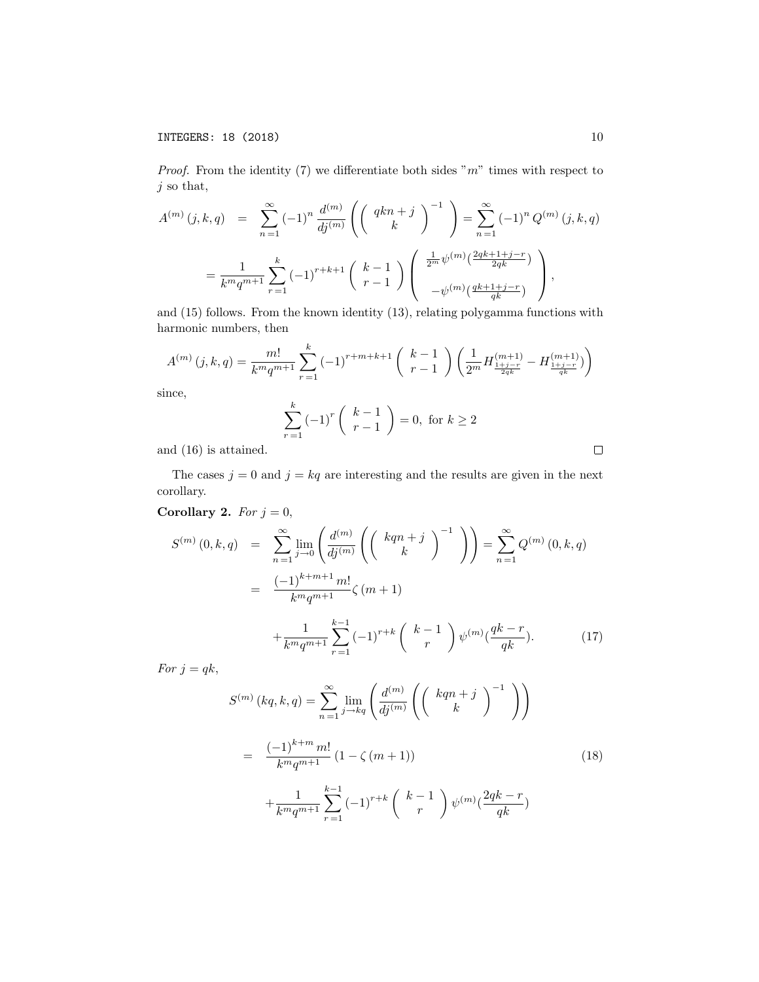*Proof.* From the identity (7) we differentiate both sides " $m$ " times with respect to *j* so that,

$$
A^{(m)}(j,k,q) = \sum_{n=1}^{\infty} (-1)^n \frac{d^{(m)}}{dj^{(m)}} \left( \left( \begin{array}{c} qkn+j \\ k \end{array} \right)^{-1} \right) = \sum_{n=1}^{\infty} (-1)^n Q^{(m)}(j,k,q)
$$
  
= 
$$
\frac{1}{k^m q^{m+1}} \sum_{r=1}^k (-1)^{r+k+1} \left( \begin{array}{c} k-1 \\ r-1 \end{array} \right) \left( \begin{array}{c} \frac{1}{2^m} \psi^{(m)}(\frac{2qk+1+j-r}{2qk}) \\ -\psi^{(m)}(\frac{qk+1+j-r}{qk}) \end{array} \right),
$$

and (15) follows. From the known identity (13), relating polygamma functions with harmonic numbers, then

$$
A^{(m)}(j,k,q) = \frac{m!}{k^m q^{m+1}} \sum_{r=1}^k (-1)^{r+m+k+1} \binom{k-1}{r-1} \left(\frac{1}{2^m} H_{\frac{1+j-r}{2qk}}^{(m+1)} - H_{\frac{1+j-r}{qk}}^{(m+1)}\right)
$$

since,

$$
\sum_{r=1}^{k} (-1)^{r} \binom{k-1}{r-1} = 0, \text{ for } k \ge 2
$$

and (16) is attained.

The cases  $j = 0$  and  $j = kq$  are interesting and the results are given in the next corollary.

Corollary 2. For 
$$
j = 0
$$
,

$$
S^{(m)}(0,k,q) = \sum_{n=1}^{\infty} \lim_{j \to 0} \left( \frac{d^{(m)}}{dj^{(m)}} \left( \left( \begin{array}{c} kqn+j \\ k \end{array} \right)^{-1} \right) \right) = \sum_{n=1}^{\infty} Q^{(m)}(0,k,q)
$$

$$
= \frac{(-1)^{k+m+1} m!}{k^m q^{m+1}} \zeta(m+1)
$$

$$
+ \frac{1}{k^m q^{m+1}} \sum_{r=1}^{k-1} (-1)^{r+k} \left( \begin{array}{c} k-1 \\ r \end{array} \right) \psi^{(m)}(\frac{qk-r}{qk}). \tag{17}
$$

*For*  $j = qk$ ,

$$
S^{(m)}(kq, k, q) = \sum_{n=1}^{\infty} \lim_{j \to kq} \left( \frac{d^{(m)}}{dj^{(m)}} \left( \begin{pmatrix} kqn+j \\ k \end{pmatrix}^{-1} \right) \right)
$$
  

$$
= \frac{(-1)^{k+m} m!}{k^m q^{m+1}} (1 - \zeta (m+1))
$$
  

$$
+ \frac{1}{k^m q^{m+1}} \sum_{r=1}^{k-1} (-1)^{r+k} \begin{pmatrix} k-1 \\ r \end{pmatrix} \psi^{(m)} (\frac{2qk-r}{qk})
$$
 (18)

 $\Box$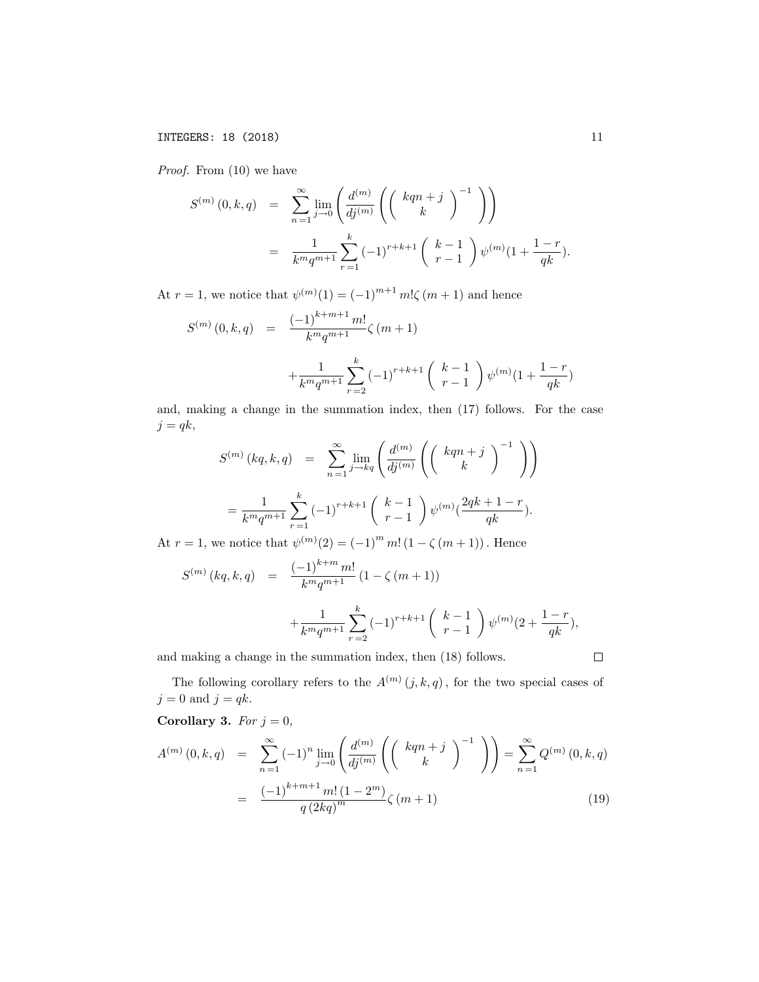*Proof.* From (10) we have

$$
S^{(m)}(0,k,q) = \sum_{n=1}^{\infty} \lim_{j \to 0} \left( \frac{d^{(m)}}{dj^{(m)}} \left( \begin{pmatrix} kqn+j \\ k \end{pmatrix}^{-1} \right) \right)
$$
  
= 
$$
\frac{1}{k^m q^{m+1}} \sum_{r=1}^k (-1)^{r+k+1} \begin{pmatrix} k-1 \\ r-1 \end{pmatrix} \psi^{(m)}(1 + \frac{1-r}{qk}).
$$

At  $r = 1$ , we notice that  $\psi^{(m)}(1) = (-1)^{m+1} m! \zeta(m+1)$  and hence

$$
S^{(m)}(0,k,q) = \frac{(-1)^{k+m+1}m!}{k^m q^{m+1}} \zeta(m+1)
$$
  
 
$$
+\frac{1}{k^m q^{m+1}} \sum_{r=2}^k (-1)^{r+k+1} {k-1 \choose r-1} \psi^{(m)}(1+\frac{1-r}{qk})
$$

and, making a change in the summation index, then (17) follows. For the case  $j = qk$ ,

$$
S^{(m)}(kq, k, q) = \sum_{n=1}^{\infty} \lim_{j \to kq} \left( \frac{d^{(m)}}{dj^{(m)}} \left( \binom{kqn+j}{k}^{-1} \right) \right)
$$
  
= 
$$
\frac{1}{k^m q^{m+1}} \sum_{r=1}^k (-1)^{r+k+1} \binom{k-1}{r-1} \psi^{(m)} \left( \frac{2qk+1-r}{qk} \right).
$$

At  $r = 1$ , we notice that  $\psi^{(m)}(2) = (-1)^m m! (1 - \zeta(m + 1))$ . Hence

$$
S^{(m)}(kq, k, q) = \frac{(-1)^{k+m} m!}{k^m q^{m+1}} (1 - \zeta(m+1))
$$
  
+ 
$$
\frac{1}{k^m q^{m+1}} \sum_{r=2}^k (-1)^{r+k+1} {k-1 \choose r-1} \psi^{(m)}(2 + \frac{1-r}{qk}),
$$

and making a change in the summation index, then (18) follows.

The following corollary refers to the  $A^{(m)}(j, k, q)$ , for the two special cases of  $j = 0$  and  $j = qk$ .

Corollary 3. *For*  $j = 0$ *,* 

$$
A^{(m)}(0,k,q) = \sum_{n=1}^{\infty} (-1)^n \lim_{j \to 0} \left( \frac{d^{(m)}}{dj^{(m)}} \left( \left( \begin{array}{c} kqn+j \\ k \end{array} \right)^{-1} \right) \right) = \sum_{n=1}^{\infty} Q^{(m)}(0,k,q)
$$

$$
= \frac{(-1)^{k+m+1} m! (1-2^m)}{q (2kq)^m} \zeta(m+1)
$$
(19)

 $\Box$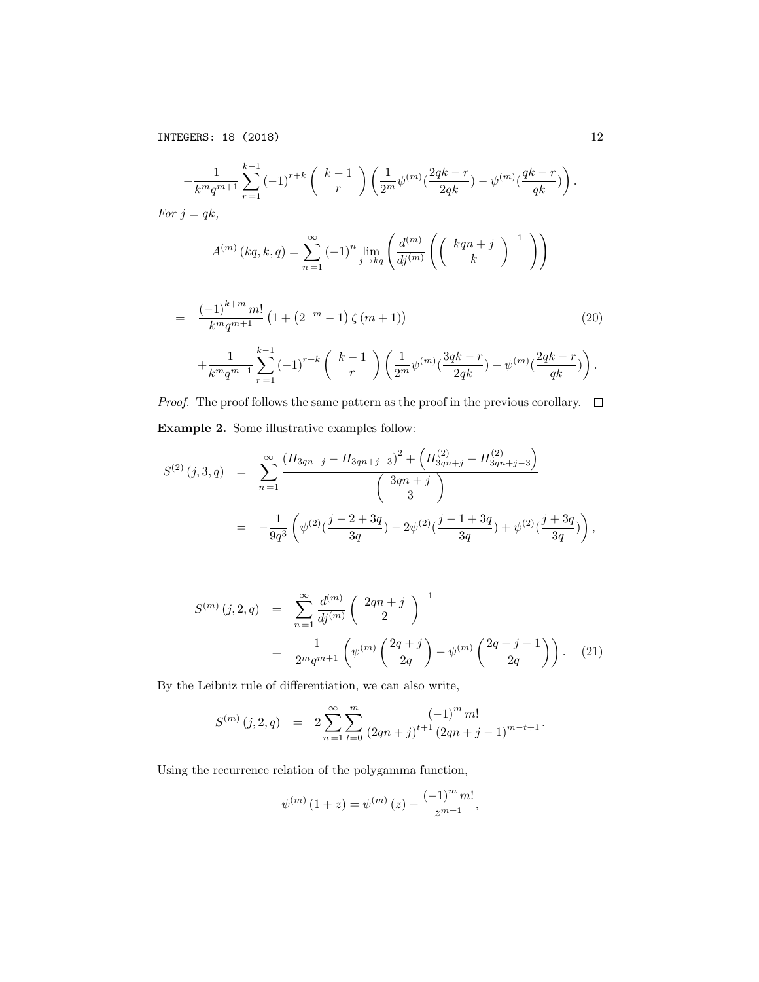INTEGERS: 18 (2018) 12

$$
+\frac{1}{k^m q^{m+1}} \sum_{r=1}^{k-1} (-1)^{r+k} \binom{k-1}{r} \left(\frac{1}{2^m} \psi^{(m)} \left(\frac{2qk-r}{2qk}\right) - \psi^{(m)} \left(\frac{qk-r}{qk}\right)\right).
$$
  
For  $j = qk$ ,  

$$
A^{(m)}(k, k, s) = \sum_{r=1}^{\infty} (-1)^n \lim_{k \to \infty} \binom{d^{(m)} \left(\left(\begin{array}{c} kqn+j \end{array}\right)^{-1}}{\left(\left(\begin{array}{c} kqn+j \end{array}\right)^{-1}}\right)}
$$

*k*

$$
A^{(m)}(kq, k, q) = \sum_{n=1}^{\infty} (-1)^n \lim_{j \to kq} \left( \frac{d^{(m)}}{dj^{(m)}} \left( \left( \frac{d^{(m)}}{dj^{(m)}} \right)^{j} \right) \right)
$$

$$
= \frac{(-1)^{k+m} m!}{k^m q^{m+1}} \left(1 + \left(2^{-m} - 1\right) \zeta \left(m + 1\right)\right) \tag{20}
$$
\n
$$
+ \frac{1}{k^m q^{m+1}} \sum_{r=1}^{k-1} (-1)^{r+k} \binom{k-1}{r} \left(\frac{1}{2^m} \psi^{(m)} \left(\frac{3qk-r}{2qk}\right) - \psi^{(m)} \left(\frac{2qk-r}{qk}\right)\right).
$$

*Proof.* The proof follows the same pattern as the proof in the previous corollary.  $\Box$ Example 2. Some illustrative examples follow:

$$
S^{(2)}(j,3,q) = \sum_{n=1}^{\infty} \frac{(H_{3qn+j} - H_{3qn+j-3})^2 + (H_{3qn+j}^{(2)} - H_{3qn+j-3}^{(2)})}{3qn+j}
$$
  
= 
$$
-\frac{1}{9q^3} \left(\psi^{(2)}(\frac{j-2+3q}{3q}) - 2\psi^{(2)}(\frac{j-1+3q}{3q}) + \psi^{(2)}(\frac{j+3q}{3q})\right),
$$

$$
S^{(m)}(j,2,q) = \sum_{n=1}^{\infty} \frac{d^{(m)}}{dj^{(m)}} \left(2qn+j \atop 2\right)^{-1}
$$
  
= 
$$
\frac{1}{2^m q^{m+1}} \left(\psi^{(m)}\left(\frac{2q+j}{2q}\right) - \psi^{(m)}\left(\frac{2q+j-1}{2q}\right)\right).
$$
 (21)

By the Leibniz rule of differentiation, we can also write,

$$
S^{(m)}(j,2,q) = 2 \sum_{n=1}^{\infty} \sum_{t=0}^{m} \frac{(-1)^m m!}{(2qn+j)^{t+1} (2qn+j-1)^{m-t+1}}.
$$

Using the recurrence relation of the polygamma function,

$$
\psi^{(m)}(1+z) = \psi^{(m)}(z) + \frac{(-1)^m m!}{z^{m+1}},
$$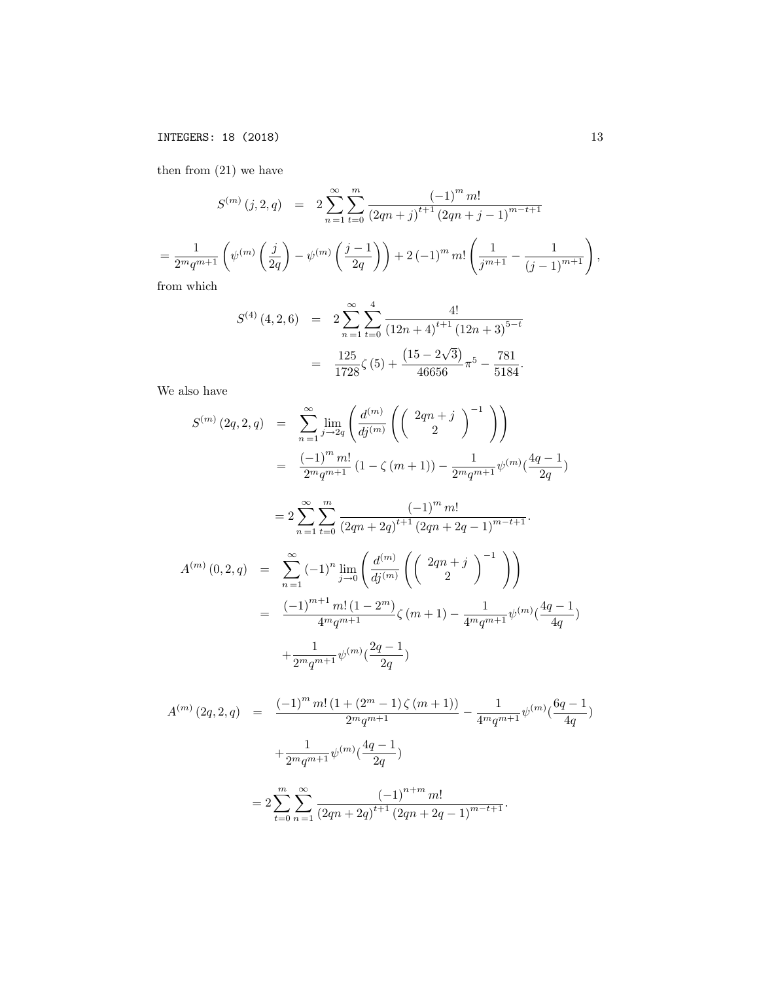INTEGERS: 18 (2018) 13

then from (21) we have

$$
S^{(m)}(j,2,q) = 2 \sum_{n=1}^{\infty} \sum_{t=0}^{m} \frac{(-1)^m m!}{(2qn+j)^{t+1} (2qn+j-1)^{m-t+1}}
$$
  
= 
$$
\frac{1}{2^m q^{m+1}} \left( \psi^{(m)}\left(\frac{j}{2q}\right) - \psi^{(m)}\left(\frac{j-1}{2q}\right) \right) + 2(-1)^m m! \left( \frac{1}{j^{m+1}} - \frac{1}{(j-1)^{m+1}} \right),
$$
from which

from which

$$
S^{(4)}(4,2,6) = 2\sum_{n=1}^{\infty} \sum_{t=0}^{4} \frac{4!}{(12n+4)^{t+1} (12n+3)^{5-t}}
$$
  
= 
$$
\frac{125}{1728}\zeta(5) + \frac{(15-2\sqrt{3})}{46656}\pi^5 - \frac{781}{5184}.
$$

We also have

$$
S^{(m)}(2q,2,q) = \sum_{n=1}^{\infty} \lim_{j \to 2q} \left( \frac{d^{(m)}}{dj^{(m)}} \left( \left( \begin{array}{c} 2qn+j \\ 2 \end{array} \right)^{-1} \right) \right)
$$
  
\n
$$
= \frac{(-1)^m m!}{2^m q^{m+1}} (1 - \zeta (m+1)) - \frac{1}{2^m q^{m+1}} \psi^{(m)} (\frac{4q-1}{2q})
$$
  
\n
$$
= 2 \sum_{n=1}^{\infty} \sum_{t=0}^m \frac{(-1)^m m!}{(2qn+2q)^{t+1} (2qn+2q-1)^{m-t+1}}.
$$
  
\n
$$
A^{(m)}(0,2,q) = \sum_{n=1}^{\infty} (-1)^n \lim_{j \to 0} \left( \frac{d^{(m)}}{dj^{(m)}} \left( \left( \begin{array}{c} 2qn+j \\ 2 \end{array} \right)^{-1} \right) \right)
$$
  
\n
$$
= \frac{(-1)^{m+1} m! (1-2^m)}{4^m q^{m+1}} \zeta (m+1) - \frac{1}{4^m q^{m+1}} \psi^{(m)} (\frac{4q-1}{4q})
$$

$$
+\frac{1}{2^mq^{m+1}}\psi^{(m)}(\frac{2q-1}{2q})
$$

$$
A^{(m)}(2q,2,q) = \frac{(-1)^m m! (1 + (2^m - 1) \zeta (m+1))}{2^m q^{m+1}} - \frac{1}{4^m q^{m+1}} \psi^{(m)}(\frac{6q-1}{4q})
$$
  
+ 
$$
\frac{1}{2^m q^{m+1}} \psi^{(m)}(\frac{4q-1}{2q})
$$
  
= 
$$
2 \sum_{t=0}^m \sum_{n=1}^\infty \frac{(-1)^{n+m} m!}{(2qn + 2q)^{t+1} (2qn + 2q - 1)^{m-t+1}}.
$$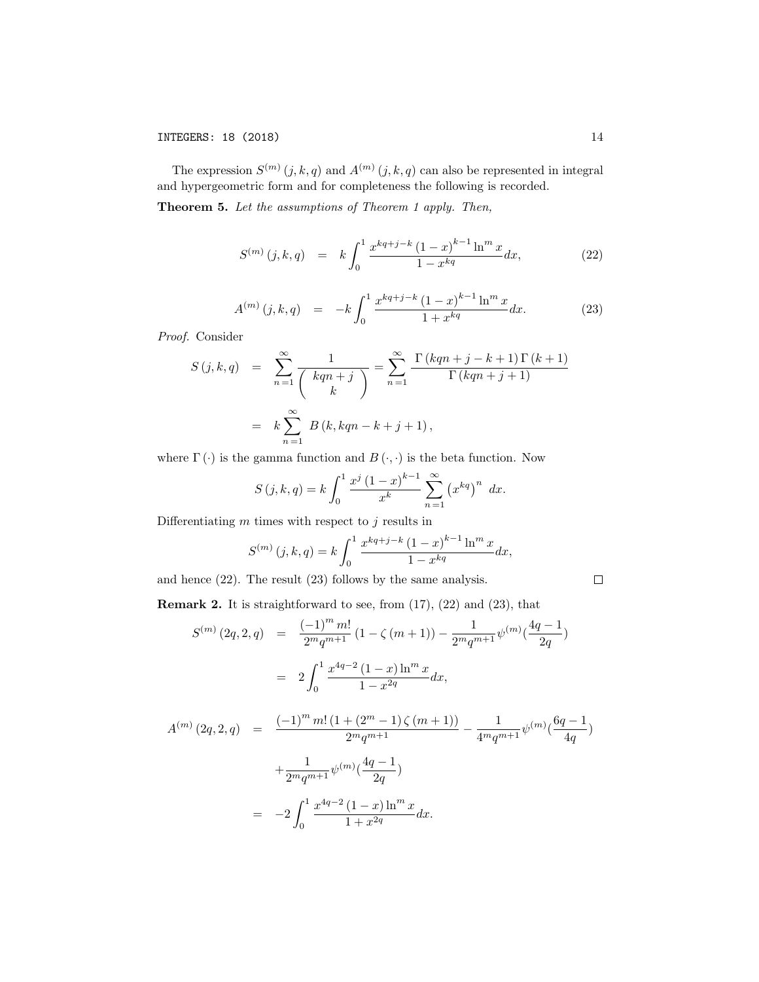The expression  $S^{(m)}(j, k, q)$  and  $A^{(m)}(j, k, q)$  can also be represented in integral and hypergeometric form and for completeness the following is recorded.

Theorem 5. *Let the assumptions of Theorem 1 apply. Then,*

$$
S^{(m)}(j,k,q) = k \int_0^1 \frac{x^{kq+j-k} (1-x)^{k-1} \ln^m x}{1-x^{kq}} dx, \tag{22}
$$

$$
A^{(m)}(j,k,q) = -k \int_0^1 \frac{x^{kq+j-k} (1-x)^{k-1} \ln^m x}{1+x^{kq}} dx.
$$
 (23)

*Proof.* Consider

$$
S(j,k,q) = \sum_{n=1}^{\infty} \frac{1}{\binom{kqn+j}{k}} = \sum_{n=1}^{\infty} \frac{\Gamma(kqn+j-k+1)\Gamma(k+1)}{\Gamma(kqn+j+1)}
$$

$$
= k \sum_{n=1}^{\infty} B(k, kqn-k+j+1),
$$

where  $\Gamma(\cdot)$  is the gamma function and  $B(\cdot, \cdot)$  is the beta function. Now

$$
S(j,k,q) = k \int_0^1 \frac{x^j (1-x)^{k-1}}{x^k} \sum_{n=1}^\infty (x^{kq})^n dx.
$$

Differentiating  $m$  times with respect to  $j$  results in

$$
S^{(m)}(j,k,q) = k \int_0^1 \frac{x^{kq+j-k} (1-x)^{k-1} \ln^m x}{1-x^{kq}} dx,
$$

and hence (22). The result (23) follows by the same analysis.

$$
\Box
$$

**Remark 2.** It is straightforward to see, from  $(17)$ ,  $(22)$  and  $(23)$ , that

$$
S^{(m)}(2q,2,q) = \frac{(-1)^m m!}{2^m q^{m+1}} (1 - \zeta(m+1)) - \frac{1}{2^m q^{m+1}} \psi^{(m)}(\frac{4q-1}{2q})
$$
  

$$
= 2 \int_0^1 \frac{x^{4q-2} (1-x) \ln^m x}{1 - x^{2q}} dx,
$$
  

$$
A^{(m)}(2q,2,q) = \frac{(-1)^m m! (1 + (2^m - 1) \zeta(m+1))}{2^m q^{m+1}} - \frac{1}{4^m q^{m+1}} \psi^{(m)}(\frac{6q-1}{4q})
$$
  

$$
+ \frac{1}{2^m q^{m+1}} \psi^{(m)}(\frac{4q-1}{2q})
$$

$$
= -2 \int_0^1 \frac{x^{4q-2} (1-x) \ln^m x}{1+x^{2q}} dx.
$$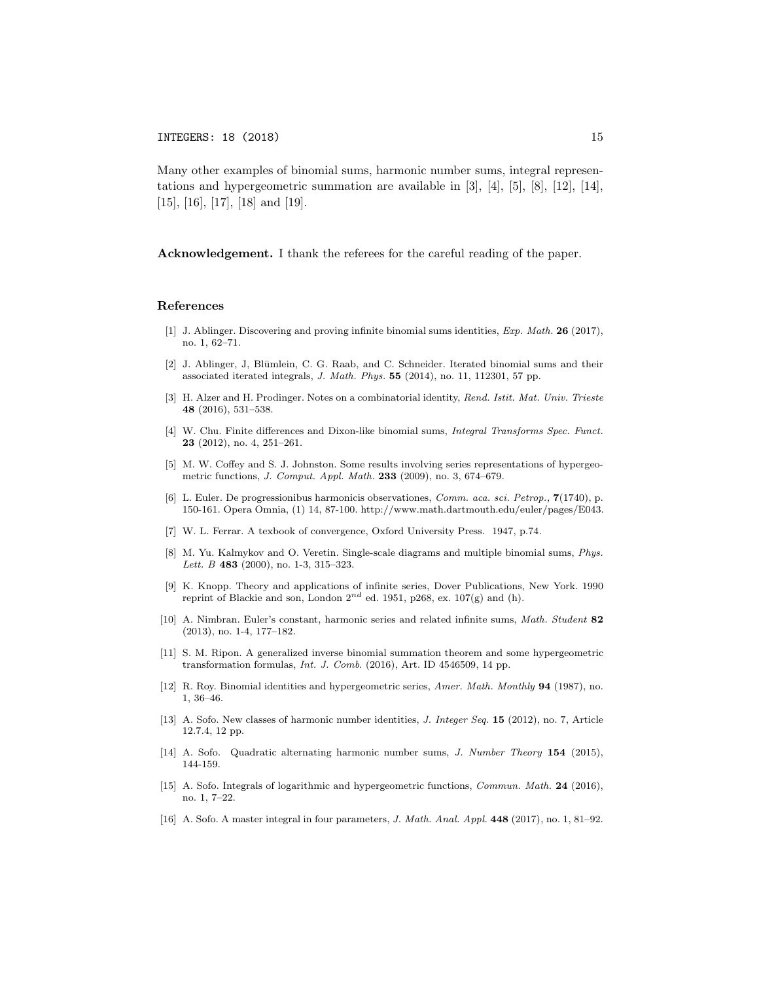Many other examples of binomial sums, harmonic number sums, integral representations and hypergeometric summation are available in  $[3]$ ,  $[4]$ ,  $[5]$ ,  $[8]$ ,  $[12]$ ,  $[14]$ , [15], [16], [17], [18] and [19].

Acknowledgement. I thank the referees for the careful reading of the paper.

#### References

- [1] J. Ablinger. Discovering and proving infinite binomial sums identities, *Exp. Math.* 26 (2017), no. 1, 62–71.
- [2] J. Ablinger, J, Blümlein, C. G. Raab, and C. Schneider. Iterated binomial sums and their associated iterated integrals, *J. Math. Phys.* 55 (2014), no. 11, 112301, 57 pp.
- [3] H. Alzer and H. Prodinger. Notes on a combinatorial identity, *Rend. Istit. Mat. Univ. Trieste* 48 (2016), 531–538.
- [4] W. Chu. Finite differences and Dixon-like binomial sums, *Integral Transforms Spec. Funct.* 23 (2012), no. 4, 251–261.
- [5] M. W. Coffey and S. J. Johnston. Some results involving series representations of hypergeometric functions, *J. Comput. Appl. Math.* 233 (2009), no. 3, 674–679.
- [6] L. Euler. De progressionibus harmonicis observationes, *Comm. aca. sci. Petrop.,* 7(1740), p. 150-161. Opera Omnia, (1) 14, 87-100. http://www.math.dartmouth.edu/euler/pages/E043.
- [7] W. L. Ferrar. A texbook of convergence, Oxford University Press. 1947, p.74.
- [8] M. Yu. Kalmykov and O. Veretin. Single-scale diagrams and multiple binomial sums, *Phys. Lett. B* 483 (2000), no. 1-3, 315–323.
- [9] K. Knopp. Theory and applications of infinite series, Dover Publications, New York. 1990 reprint of Blackie and son, London  $2^{nd}$  ed. 1951, p268, ex. 107(g) and (h).
- [10] A. Nimbran. Euler's constant, harmonic series and related infinite sums, *Math. Student* 82 (2013), no. 1-4, 177–182.
- [11] S. M. Ripon. A generalized inverse binomial summation theorem and some hypergeometric transformation formulas, *Int. J. Comb*. (2016), Art. ID 4546509, 14 pp.
- [12] R. Roy. Binomial identities and hypergeometric series, *Amer. Math. Monthly* 94 (1987), no. 1, 36–46.
- [13] A. Sofo. New classes of harmonic number identities, *J. Integer Seq.* 15 (2012), no. 7, Article 12.7.4, 12 pp.
- [14] A. Sofo. Quadratic alternating harmonic number sums, *J. Number Theory* 154 (2015), 144-159.
- [15] A. Sofo. Integrals of logarithmic and hypergeometric functions, *Commun. Math.* 24 (2016), no. 1, 7–22.
- [16] A. Sofo. A master integral in four parameters, *J. Math. Anal. Appl.* 448 (2017), no. 1, 81–92.